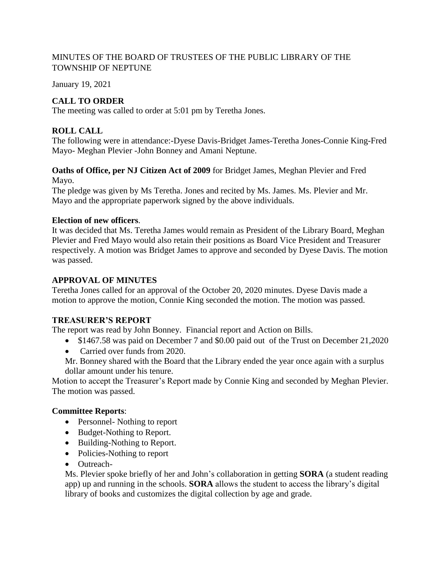## MINUTES OF THE BOARD OF TRUSTEES OF THE PUBLIC LIBRARY OF THE TOWNSHIP OF NEPTUNE

January 19, 2021

# **CALL TO ORDER**

The meeting was called to order at 5:01 pm by Teretha Jones.

# **ROLL CALL**

The following were in attendance:-Dyese Davis-Bridget James-Teretha Jones-Connie King-Fred Mayo- Meghan Plevier -John Bonney and Amani Neptune.

## **Oaths of Office, per NJ Citizen Act of 2009** for Bridget James, Meghan Plevier and Fred Mayo.

The pledge was given by Ms Teretha. Jones and recited by Ms. James. Ms. Plevier and Mr. Mayo and the appropriate paperwork signed by the above individuals.

## **Election of new officers**.

It was decided that Ms. Teretha James would remain as President of the Library Board, Meghan Plevier and Fred Mayo would also retain their positions as Board Vice President and Treasurer respectively. A motion was Bridget James to approve and seconded by Dyese Davis. The motion was passed.

## **APPROVAL OF MINUTES**

Teretha Jones called for an approval of the October 20, 2020 minutes. Dyese Davis made a motion to approve the motion, Connie King seconded the motion. The motion was passed.

## **TREASURER'S REPORT**

The report was read by John Bonney. Financial report and Action on Bills.

- \$1467.58 was paid on December 7 and \$0.00 paid out of the Trust on December 21,2020
- Carried over funds from 2020.

Mr. Bonney shared with the Board that the Library ended the year once again with a surplus dollar amount under his tenure.

Motion to accept the Treasurer's Report made by Connie King and seconded by Meghan Plevier. The motion was passed.

## **Committee Reports**:

- Personnel- Nothing to report
- Budget-Nothing to Report.
- Building-Nothing to Report.
- Policies-Nothing to report
- Outreach-

Ms. Plevier spoke briefly of her and John's collaboration in getting **SORA** (a student reading app) up and running in the schools. **SORA** allows the student to access the library's digital library of books and customizes the digital collection by age and grade.